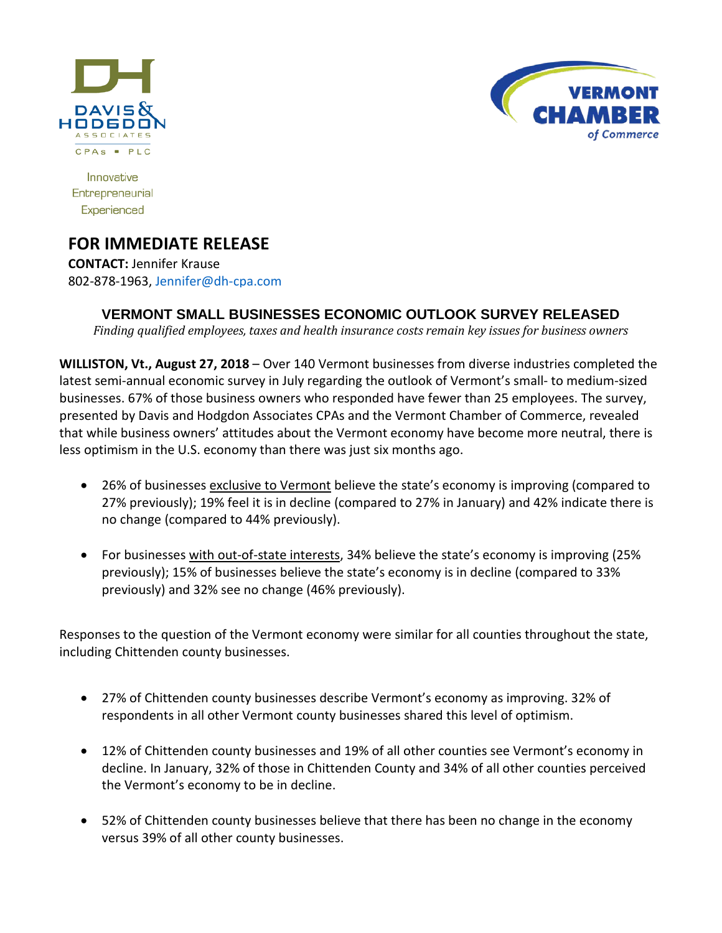



Innovative Entrepreneurial Experienced

# **FOR IMMEDIATE RELEASE**

**CONTACT:** Jennifer Krause 802-878-1963, [Jennifer@dh-cpa.com](mailto:Jennifer@dh-cpa.com)

## **VERMONT SMALL BUSINESSES ECONOMIC OUTLOOK SURVEY RELEASED**

*Finding qualified employees, taxes and health insurance costs remain key issues for business owners*

**WILLISTON, Vt., August 27, 2018** – Over 140 Vermont businesses from diverse industries completed the latest semi-annual economic survey in July regarding the outlook of Vermont's small- to medium-sized businesses. 67% of those business owners who responded have fewer than 25 employees. The survey, presented by Davis and Hodgdon Associates CPAs and the Vermont Chamber of Commerce, revealed that while business owners' attitudes about the Vermont economy have become more neutral, there is less optimism in the U.S. economy than there was just six months ago.

- 26% of businesses exclusive to Vermont believe the state's economy is improving (compared to 27% previously); 19% feel it is in decline (compared to 27% in January) and 42% indicate there is no change (compared to 44% previously).
- For businesses with out-of-state interests, 34% believe the state's economy is improving (25% previously); 15% of businesses believe the state's economy is in decline (compared to 33% previously) and 32% see no change (46% previously).

Responses to the question of the Vermont economy were similar for all counties throughout the state, including Chittenden county businesses.

- 27% of Chittenden county businesses describe Vermont's economy as improving. 32% of respondents in all other Vermont county businesses shared this level of optimism.
- 12% of Chittenden county businesses and 19% of all other counties see Vermont's economy in decline. In January, 32% of those in Chittenden County and 34% of all other counties perceived the Vermont's economy to be in decline.
- 52% of Chittenden county businesses believe that there has been no change in the economy versus 39% of all other county businesses.